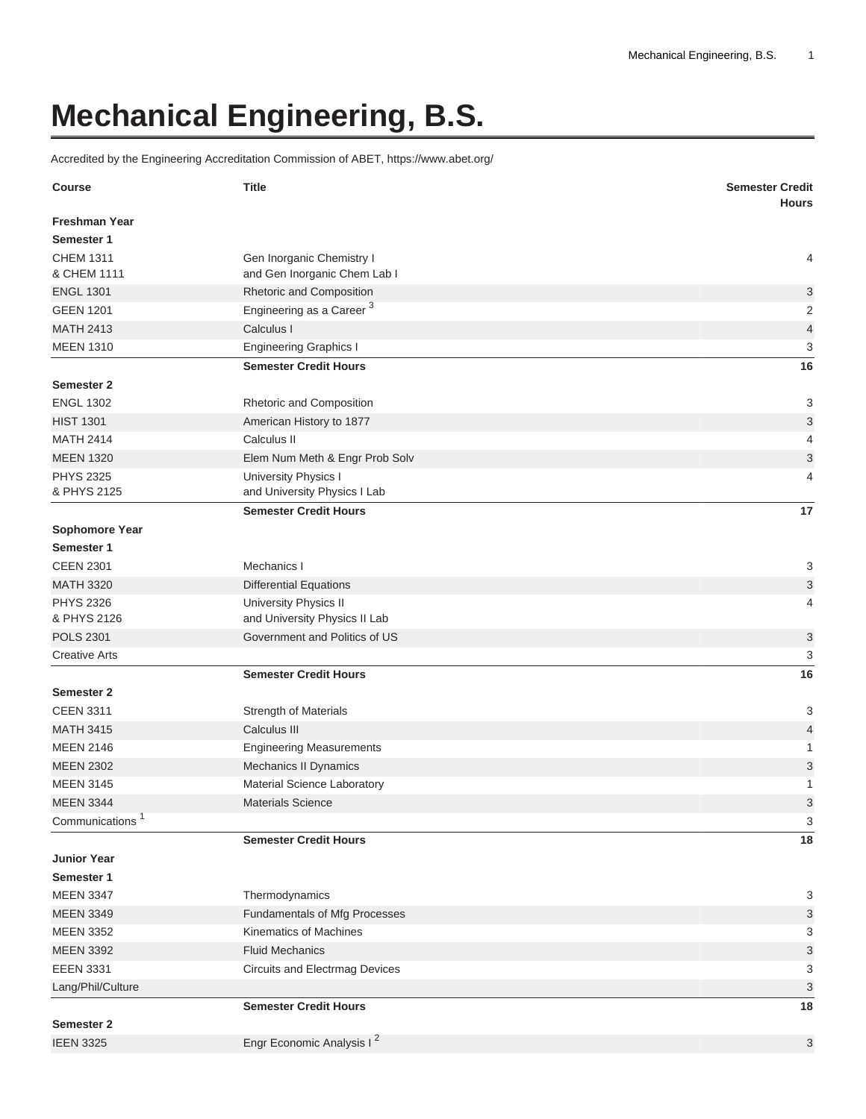## **Mechanical Engineering, B.S.**

Accredited by the Engineering Accreditation Commission of ABET, <https://www.abet.org/>

| <b>Course</b>                   | <b>Title</b>                                              | <b>Semester Credit</b><br><b>Hours</b> |
|---------------------------------|-----------------------------------------------------------|----------------------------------------|
| <b>Freshman Year</b>            |                                                           |                                        |
| Semester 1                      |                                                           |                                        |
| <b>CHEM 1311</b><br>& CHEM 1111 | Gen Inorganic Chemistry I<br>and Gen Inorganic Chem Lab I | 4                                      |
| <b>ENGL 1301</b>                | Rhetoric and Composition                                  | 3                                      |
| <b>GEEN 1201</b>                | Engineering as a Career <sup>3</sup>                      | 2                                      |
| <b>MATH 2413</b>                | Calculus I                                                | $\overline{\mathbf{4}}$                |
| <b>MEEN 1310</b>                | <b>Engineering Graphics I</b>                             | 3                                      |
|                                 | <b>Semester Credit Hours</b>                              | 16                                     |
| <b>Semester 2</b>               |                                                           |                                        |
| <b>ENGL 1302</b>                | Rhetoric and Composition                                  | 3                                      |
| <b>HIST 1301</b>                | American History to 1877                                  | $\ensuremath{\mathsf{3}}$              |
| <b>MATH 2414</b>                | Calculus II                                               | 4                                      |
| <b>MEEN 1320</b>                | Elem Num Meth & Engr Prob Solv                            | 3                                      |
| <b>PHYS 2325</b>                | University Physics I                                      | 4                                      |
| & PHYS 2125                     | and University Physics I Lab                              |                                        |
|                                 | <b>Semester Credit Hours</b>                              | 17                                     |
| Sophomore Year                  |                                                           |                                        |
| Semester 1                      |                                                           |                                        |
| <b>CEEN 2301</b>                | Mechanics I                                               | 3                                      |
| <b>MATH 3320</b>                | <b>Differential Equations</b>                             | $\ensuremath{\mathsf{3}}$              |
| <b>PHYS 2326</b>                | University Physics II                                     | 4                                      |
| & PHYS 2126                     | and University Physics II Lab                             |                                        |
| <b>POLS 2301</b>                | Government and Politics of US                             | 3                                      |
| <b>Creative Arts</b>            |                                                           | 3                                      |
|                                 | <b>Semester Credit Hours</b>                              | 16                                     |
| Semester 2                      |                                                           |                                        |
| <b>CEEN 3311</b>                | <b>Strength of Materials</b>                              | 3                                      |
| <b>MATH 3415</b>                | Calculus III                                              | $\overline{4}$                         |
| <b>MEEN 2146</b>                | <b>Engineering Measurements</b>                           | 1                                      |
| <b>MEEN 2302</b>                | Mechanics II Dynamics                                     | 3                                      |
| <b>MEEN 3145</b>                | Material Science Laboratory                               | 1                                      |
| <b>MEEN 3344</b>                | Materials Science                                         | $\sqrt{3}$                             |
| Communications <sup>1</sup>     |                                                           | 3                                      |
|                                 | <b>Semester Credit Hours</b>                              | 18                                     |
| <b>Junior Year</b>              |                                                           |                                        |
| Semester 1                      |                                                           |                                        |
| <b>MEEN 3347</b>                | Thermodynamics                                            | 3                                      |
| <b>MEEN 3349</b>                | Fundamentals of Mfg Processes                             | $\ensuremath{\mathsf{3}}$              |
| <b>MEEN 3352</b>                | Kinematics of Machines                                    | 3                                      |
| <b>MEEN 3392</b>                | <b>Fluid Mechanics</b>                                    | $\ensuremath{\mathsf{3}}$              |
| <b>EEEN 3331</b>                | <b>Circuits and Electrmag Devices</b>                     | 3                                      |
| Lang/Phil/Culture               |                                                           | $\ensuremath{\mathsf{3}}$              |
| Semester 2                      | <b>Semester Credit Hours</b>                              | 18                                     |
| <b>IEEN 3325</b>                | Engr Economic Analysis I <sup>2</sup>                     | 3                                      |
|                                 |                                                           |                                        |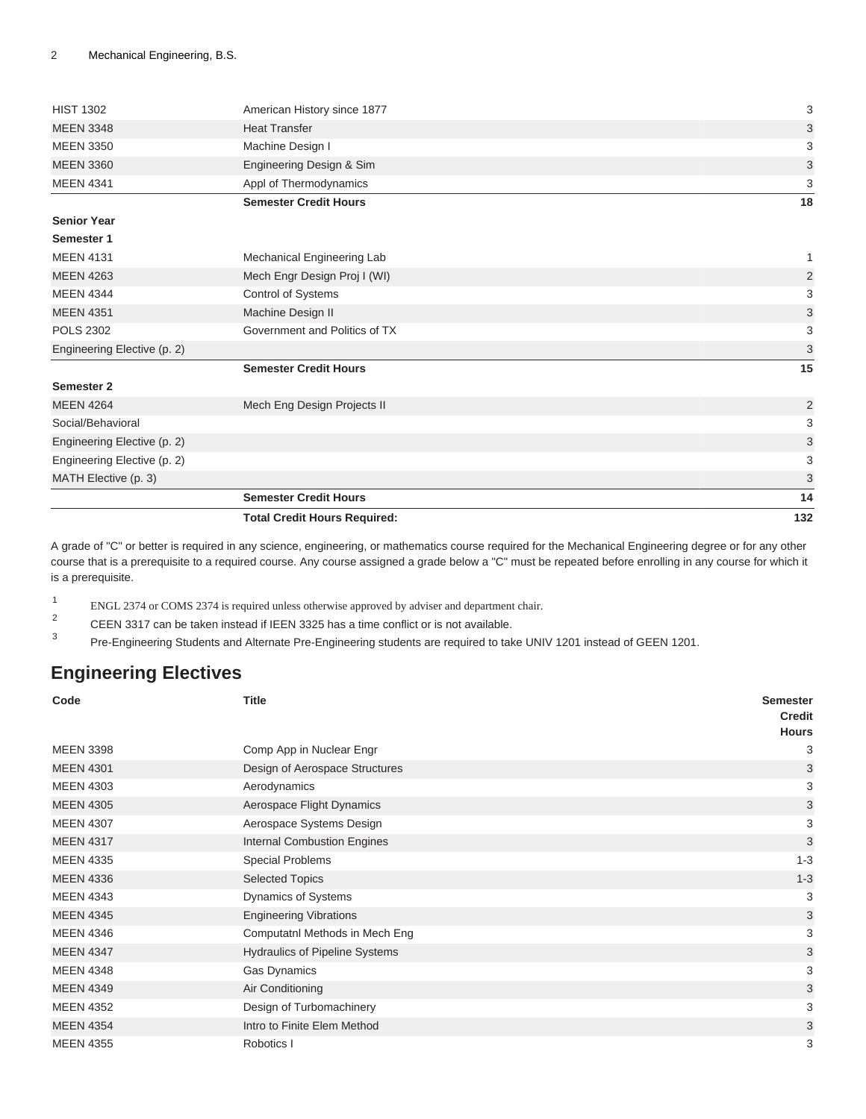|                             | <b>Total Credit Hours Required:</b>                    | 132            |
|-----------------------------|--------------------------------------------------------|----------------|
|                             | <b>Semester Credit Hours</b>                           | 14             |
| MATH Elective (p. 3)        |                                                        | 3              |
| Engineering Elective (p. 2) |                                                        | 3              |
| Engineering Elective (p. 2) |                                                        | 3              |
| Social/Behavioral           |                                                        | 3              |
| <b>MEEN 4264</b>            | Mech Eng Design Projects II                            | 2              |
| Semester 2                  |                                                        |                |
|                             | <b>Semester Credit Hours</b>                           | 15             |
| Engineering Elective (p. 2) |                                                        | 3              |
| <b>POLS 2302</b>            | Government and Politics of TX                          | 3              |
| <b>MEEN 4351</b>            | Machine Design II                                      | 3              |
| <b>MEEN 4344</b>            | Control of Systems                                     | 3              |
| <b>MEEN 4263</b>            | Mech Engr Design Proj I (WI)                           | $\overline{2}$ |
| <b>MEEN 4131</b>            | Mechanical Engineering Lab                             | $\mathbf{1}$   |
| Semester 1                  |                                                        |                |
| <b>Senior Year</b>          |                                                        |                |
| <b>MEEN 4341</b>            | Appl of Thermodynamics<br><b>Semester Credit Hours</b> | 3<br>18        |
| <b>MEEN 3360</b>            | Engineering Design & Sim                               | 3              |
| <b>MEEN 3350</b>            | Machine Design I                                       | 3              |
| <b>MEEN 3348</b>            | <b>Heat Transfer</b>                                   | 3              |
| <b>HIST 1302</b>            | American History since 1877                            | 3              |
|                             |                                                        |                |

A grade of "C" or better is required in any science, engineering, or mathematics course required for the Mechanical Engineering degree or for any other course that is a prerequisite to a required course. Any course assigned a grade below a "C" must be repeated before enrolling in any course for which it is a prerequisite.

1 ENGL 2374 or COMS 2374 is required unless otherwise approved by adviser and department chair.

2 CEEN 3317 can be taken instead if IEEN 3325 has a time conflict or is not available.

3 Pre-Engineering Students and Alternate Pre-Engineering students are required to take UNIV 1201 instead of GEEN 1201.

## <span id="page-1-0"></span>**Engineering Electives**

| Code             | <b>Title</b>                          | <b>Semester</b><br><b>Credit</b><br><b>Hours</b> |
|------------------|---------------------------------------|--------------------------------------------------|
| <b>MEEN 3398</b> | Comp App in Nuclear Engr              | 3                                                |
| <b>MEEN 4301</b> | Design of Aerospace Structures        | 3                                                |
| <b>MEEN 4303</b> | Aerodynamics                          | 3                                                |
| <b>MEEN 4305</b> | Aerospace Flight Dynamics             | 3                                                |
| <b>MEEN 4307</b> | Aerospace Systems Design              | 3                                                |
| <b>MEEN 4317</b> | <b>Internal Combustion Engines</b>    | 3                                                |
| <b>MEEN 4335</b> | <b>Special Problems</b>               | $1 - 3$                                          |
| <b>MEEN 4336</b> | <b>Selected Topics</b>                | $1 - 3$                                          |
| <b>MEEN 4343</b> | Dynamics of Systems                   | 3                                                |
| <b>MEEN 4345</b> | <b>Engineering Vibrations</b>         | 3                                                |
| <b>MEEN 4346</b> | Computatnl Methods in Mech Eng        | 3                                                |
| <b>MEEN 4347</b> | <b>Hydraulics of Pipeline Systems</b> | 3                                                |
| <b>MEEN 4348</b> | Gas Dynamics                          | 3                                                |
| <b>MEEN 4349</b> | Air Conditioning                      | 3                                                |
| <b>MEEN 4352</b> | Design of Turbomachinery              | 3                                                |
| <b>MEEN 4354</b> | Intro to Finite Elem Method           | 3                                                |
| <b>MEEN 4355</b> | Robotics I                            | 3                                                |